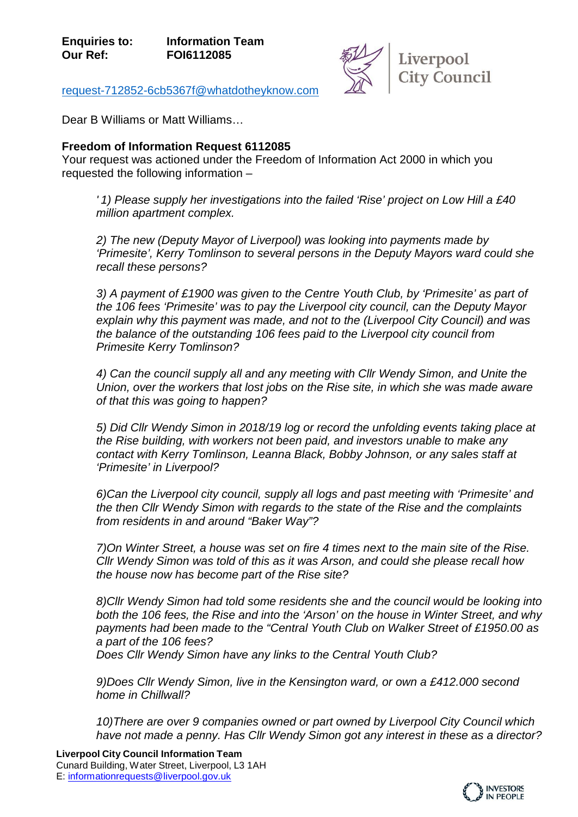

[request-712852-6cb5367f@whatdotheyknow.com](mailto:xxxxxxxxxxxxxxxxxxxxxxx@xxxxxxxxxxxxxx.xxx)

Dear B Williams or Matt Williams…

## **Freedom of Information Request 6112085**

Your request was actioned under the Freedom of Information Act 2000 in which you requested the following information –

*' 1) Please supply her investigations into the failed 'Rise' project on Low Hill a £40 million apartment complex.*

*2) The new (Deputy Mayor of Liverpool) was looking into payments made by 'Primesite', Kerry Tomlinson to several persons in the Deputy Mayors ward could she recall these persons?*

*3) A payment of £1900 was given to the Centre Youth Club, by 'Primesite' as part of the 106 fees 'Primesite' was to pay the Liverpool city council, can the Deputy Mayor explain why this payment was made, and not to the (Liverpool City Council) and was the balance of the outstanding 106 fees paid to the Liverpool city council from Primesite Kerry Tomlinson?*

*4) Can the council supply all and any meeting with Cllr Wendy Simon, and Unite the Union, over the workers that lost jobs on the Rise site, in which she was made aware of that this was going to happen?*

*5) Did Cllr Wendy Simon in 2018/19 log or record the unfolding events taking place at the Rise building, with workers not been paid, and investors unable to make any contact with Kerry Tomlinson, Leanna Black, Bobby Johnson, or any sales staff at 'Primesite' in Liverpool?*

*6)Can the Liverpool city council, supply all logs and past meeting with 'Primesite' and the then Cllr Wendy Simon with regards to the state of the Rise and the complaints from residents in and around "Baker Way"?* 

*7)On Winter Street, a house was set on fire 4 times next to the main site of the Rise. Cllr Wendy Simon was told of this as it was Arson, and could she please recall how the house now has become part of the Rise site?* 

*8)Cllr Wendy Simon had told some residents she and the council would be looking into both the 106 fees, the Rise and into the 'Arson' on the house in Winter Street, and why payments had been made to the "Central Youth Club on Walker Street of £1950.00 as a part of the 106 fees?*

*Does Cllr Wendy Simon have any links to the Central Youth Club?*

*9)Does Cllr Wendy Simon, live in the Kensington ward, or own a £412.000 second home in Chillwall?*

*10)There are over 9 companies owned or part owned by Liverpool City Council which have not made a penny. Has Cllr Wendy Simon got any interest in these as a director?*

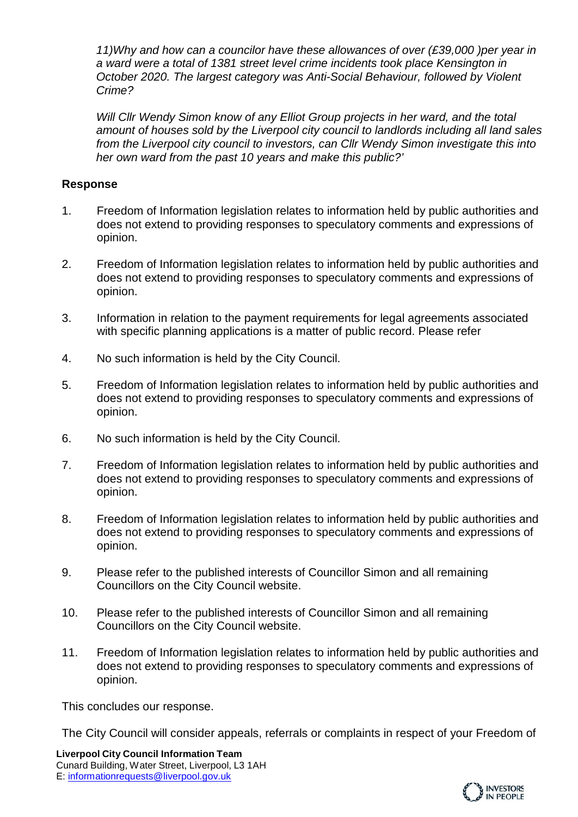*11)Why and how can a councilor have these allowances of over (£39,000 )per year in a ward were a total of 1381 street level crime incidents took place Kensington in October 2020. The largest category was Anti-Social Behaviour, followed by Violent Crime?*

*Will Cllr Wendy Simon know of any Elliot Group projects in her ward, and the total amount of houses sold by the Liverpool city council to landlords including all land sales from the Liverpool city council to investors, can Cllr Wendy Simon investigate this into her own ward from the past 10 years and make this public?'*

## **Response**

- 1. Freedom of Information legislation relates to information held by public authorities and does not extend to providing responses to speculatory comments and expressions of opinion.
- 2. Freedom of Information legislation relates to information held by public authorities and does not extend to providing responses to speculatory comments and expressions of opinion.
- 3. Information in relation to the payment requirements for legal agreements associated with specific planning applications is a matter of public record. Please refer
- 4. No such information is held by the City Council.
- 5. Freedom of Information legislation relates to information held by public authorities and does not extend to providing responses to speculatory comments and expressions of opinion.
- 6. No such information is held by the City Council.
- 7. Freedom of Information legislation relates to information held by public authorities and does not extend to providing responses to speculatory comments and expressions of opinion.
- 8. Freedom of Information legislation relates to information held by public authorities and does not extend to providing responses to speculatory comments and expressions of opinion.
- 9. Please refer to the published interests of Councillor Simon and all remaining Councillors on the City Council website.
- 10. Please refer to the published interests of Councillor Simon and all remaining Councillors on the City Council website.
- 11. Freedom of Information legislation relates to information held by public authorities and does not extend to providing responses to speculatory comments and expressions of opinion.

This concludes our response.

The City Council will consider appeals, referrals or complaints in respect of your Freedom of

**Liverpool City Council Information Team** Cunard Building, Water Street, Liverpool, L3 1AH E: [informationrequests@liverpool.gov.uk](mailto:xxxxxxxxxxxxxxxxxxx@xxxxxxxxx.xxx.xx)